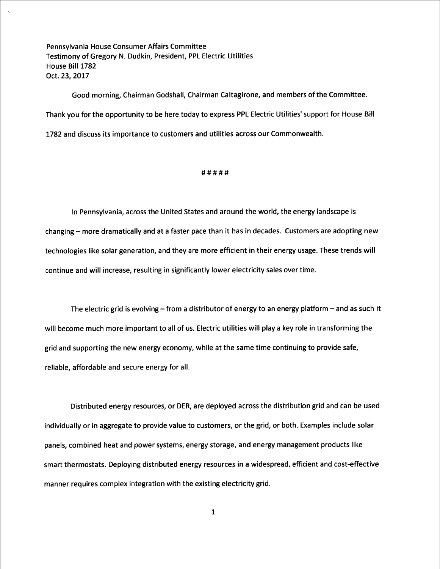Pennsylvania House Consumer Affairs Committee Testimony of Gregory N. Dudkin, President, PPL Electric Utilities House Bill 1782 Oct. 23, 2017

Good morning, Chairman Godshall, Chairman Caltagirone, and members of the Committee. Thank you for the opportunity to be here today to express PPL Electric Utilities' support for House Bill 1782 and discuss its importance to customers and utilities across our Commonwealth.

### #####

In Pennsylvania, across the United States and around the world, the energy landscape is changing -- more dramatically and at a faster pace than it has in decades. Customers are adopting new technologies like solar generation, and they are more efficient in their energy usage. These trends will continue and will increase, resulting in significantly lower electricity sales over time.

The electric grid is evolving  $-$  from a distributor of energy to an energy platform  $-$  and as such it will become much more important to all of us. Electric utilities will play a key role in transforming the grid and supporting the new energy economy, while at the same time continuing to provide safe, reliable, affordable and secure energy for all.

Distributed energy resources, or DER, are deployed across the distribution grid and can be used individually or in aggregate to provide value to customers, or the grid, or both. Examples include solar panels, combined heat and power systems, energy storage, and energy management products like smart thermostats. Deploying distributed energy resources in a widespread, efficient and cost-effective manner requires complex integration with the existing electricity grid.

l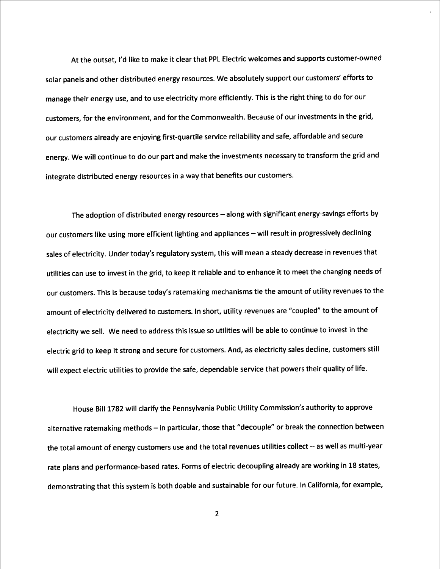At the outset, I'd like to make it clear that PPL Electric welcomes and supports customer-owned solar panels and other distributed energy resources. We absolutely support our customers' efforts to manage their energy use, and to use electricity more efficiently. This is the right thing to do for our customers, for the environment, and for the Commonwealth. Because of our investments in the grid, our customers already are enjoying first-quartile service reliability and safe, affordable and secure energy. We will continue to do our part and make the investments necessary to transform the grid and integrate distributed energy resources in a way that benefits our customers.

The adoption of distributed energy resources - along with significant energy-savings efforts by our customers like using more efficient lighting and appliances - will result in progressively declining sales of electricity. Under today's regulatory system, this will mean a steady decrease in revenues that utilities can use to invest in the grid, to keep it reliable and to enhance it to meet the changing needs of our customers. This is because today's ratemaking mechanisms tie the amount of utility revenues to the amount of electricity delivered to customers. In short, utility revenues are "coupled" to the amount of electricity we sell. We need to address this issue so utilities will be able to continue to invest in the electric grid to keep it strong and secure for customers. And, as electricity sales decline, customers still will expect electric utilities to provide the safe, dependable service that powers their quality of life.

House Bill 1782 will clarify the Pennsylvania Public Utility Commission's authority to approve alternative ratemaking methods - in particular, those that "decouple" or break the connection between the total amount of energy customers use and the total revenues utilities collect -- as well as multi-year rate plans and performance-based rates. Forms of electric decoupling already are working in 18 states, demonstrating that this system is both doable and sustainable for our future. In California, for example,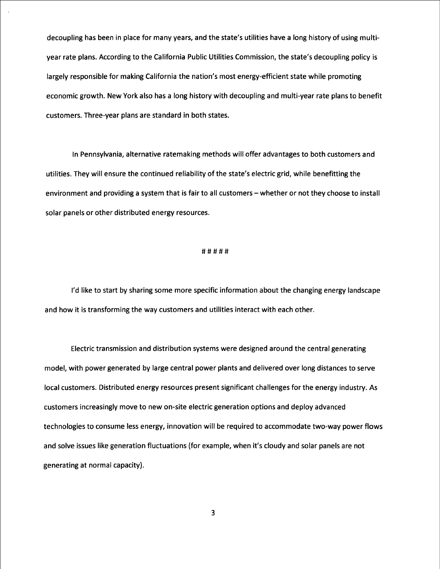decoupling has been in place for many years, and the state's utilities have a long history of using multiyear rate plans. According to the California Public Utilities Commission, the state's decoupling policy is largely responsible for making California the nation's most energy-efficient state while promoting economic growth. New York also has a long history with decoupling and multi-year rate plans to benefit customers. Three-year plans are standard in both states.

In Pennsylvania, alternative ratemaking methods will offer advantages to both customers and utilities. They will ensure the continued reliability of the state's electric grid, while benefitting the environment and providing a system that is fair to all customers – whether or not they choose to install solar panels or other distributed energy resources.

# #####

I'd like to start by sharing some more specific information about the changing energy landscape and how it is transforming the way customers and utilities interact with each other.

Electric transmission and distribution systems were designed around the central generating model, with power generated by large central power plants and delivered over long distances to serve local customers. Distributed energy resources present significant challenges for the energy industry. As customers increasingly move to new on-site electric generation options and deploy advanced technologies to consume less energy, innovation will be required to accommodate two-way power flows and solve issues like generation fluctuations(for example, when it's cloudy and solar panels are not generating at normal capacity).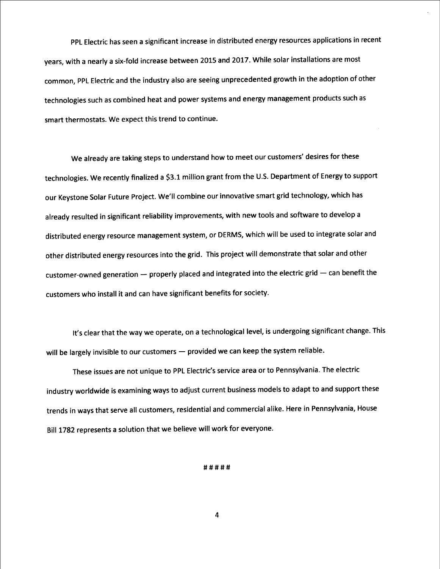PPL Electric has seen a significant increase in distributed energy resources applications in recent years, with a nearly a six-fold increase between 2015 and 2017. While solar installations are most common, PPL Electric and the industry also are seeing unprecedented growth in the adoption of other technologies such as combined heat and power systems and energy management products such as smart thermostats. We expect this trend to continue.

We already are taking steps to understand how to meet our customers' desires for these technologies. We recently finalized a \$3.1 million grant from the U.S. Department of Energy to support our Keystone Solar Future Project. We'll combine our innovative smart grid technology, which has already resulted in significant reliability improvements, with new tools and software to develop a distributed energy resource management system, or DERMS, which will be used to integrate solar and other distributed energy resources into the grid. This project will demonstrate that solar and other customer-owned generation  $-$  properly placed and integrated into the electric grid  $-$  can benefit the customers who install it and can have significant benefits for society.

It's clear that the way we operate, on a technological level, is undergoing significant change. This will be largely invisible to our customers - provided we can keep the system reliable.

These issues are not unique to PPL Electric's service area or to Pennsylvania. The electric industry worldwide is examining ways to adjust current business models to adapt to and support these trends in ways that serve all customers, residential and commercial alike. Here in Pennsylvania, House Bill 1782 represents a solution that we believe will work for everyone.

### #####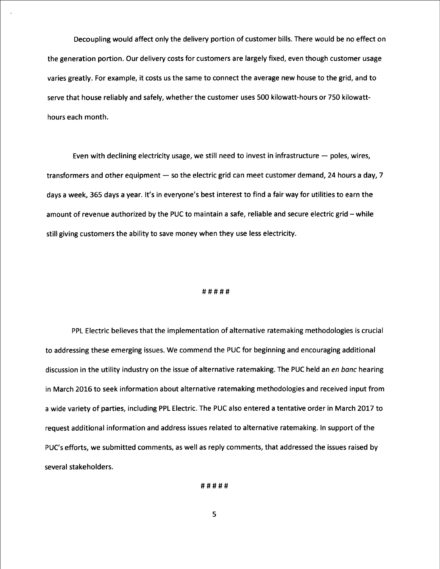Decoupling would affect only the delivery portion of customer bills. There would be no effect on the generation portion. Our delivery costs for customers are largely fixed, even though customer usage varies greatly. For example, it costs us the same to connect the average new house to the grid, and to serve that house reliably and safely, whether the customer uses 500 kilowatt-hours or 750 kilowatthours each month.

Even with declining electricity usage, we still need to invest in infrastructure  $-$  poles, wires, transformers and other equipment  $-$  so the electric grid can meet customer demand, 24 hours a day, 7 days a week, 365 days a year. It's in everyone's best interest to find a fair way for utilities to earn the amount of revenue authorized by the PUC to maintain a safe, reliable and secure electric grid -- while still giving customers the ability to save money when they use less electricity.

## #####

PPL Electric believes that the implementation of alternative ratemaking methodologies is crucial to addressing these emerging issues. We commend the PUC for beginning and encouraging additional discussion in the utility industry on the issue of alternative ratemaking. The PUC held an en banc hearing in March 2016 to seek information about alternative ratemaking methodologies and received input from a wide variety of parties, including PPL Electric. The PUC also entered a tentative order in March 2017 to request additional information and address issues related to alternative ratemaking. In support of the PUC's efforts, we submitted comments, as well as reply comments, that addressed the issues raised by several stakeholders.

#####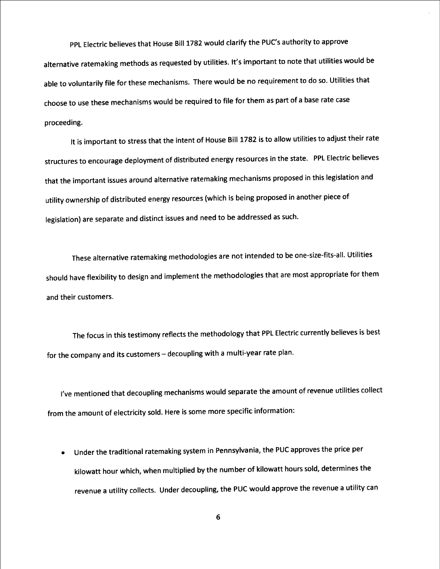PPL Electric believes that House Bill 1782 would clarify the PUC's authority to approve alternative ratemaking methods as requested by utilities. It's important to note that utilities would be able to voluntarily file for these mechanisms. There would be no requirement to do so. Utilities that choose to use these mechanisms would be required to file for them as part of a base rate case proceeding.

It is important to stress that the intent of House Bill 1782 is to allow utilities to adjust their rate structures to encourage deployment of distributed energy resources in the state. PPL Electric believes that the important issues around alternative ratemaking mechanisms proposed in this legislation and utility ownership of distributed energy resources (which is being proposed in another piece of legislation) are separate and distinct issues and need to be addressed as such.

These alternative ratemaking methodologies are not intended to be one-size-fits-all. Utilities should have flexibility to design and implement the methodologies that are most appropriate for them and their customers.

The focus in this testimony reflects the methodology that PPL Electric currently believes is best for the company and its customers - decoupling with a multi-year rate plan.

I've mentioned that decoupling mechanisms would separate the amount of revenue utilities collect from the amount of electricity sold. Here is some more specific information:

e Under the traditional ratemaking system in Pennsylvania, the PUC approves the price per kilowatt hour which, when multiplied by the number of kilowatt hours sold, determines the revenue a utility collects. Under decoupling, the PUC would approve the revenue a utility can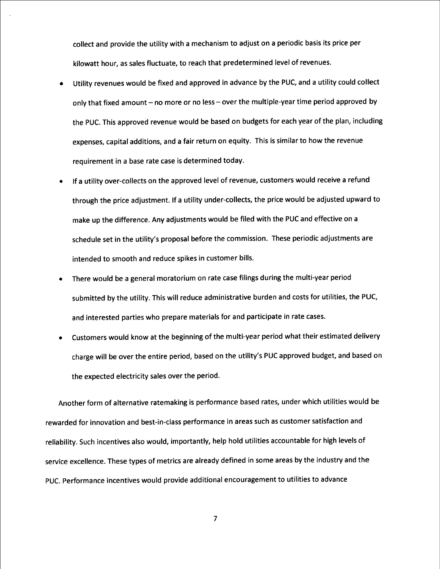collect and provide the utility with a mechanism to adjust on a periodic basis its price per kilowatt hour, as sales fluctuate, to reach that predetermined level of revenues.

- Utility revenues would be fixed and approved in advance by the PUC, and a utility could collect only that fixed amount - no more or no less - over the multiple-year time period approved by the PUC. This approved revenue would be based on budgets for each year of the plan, including expenses, capital additions, and a fair return on equity. This is similar to how the revenue requirement in a base rate case is determined today. e
- If a utility over-collects on the approved level of revenue, customers would receive a refund through the price adjustment. If a utility under-collects, the price would be adjusted upward to make up the difference. Any adjustments would be filed with the PUC and effective on a schedule set in the utility's proposal before the commission. These periodic adjustments are intended to smooth and reduce spikes in customer bills. e
- There would be a general moratorium on rate case filings during the multi-year period submitted by the utility. This will reduce administrative burden and costs for utilities, the PUC, and interested parties who prepare materials for and participate in rate cases. ©
- Customers would know at the beginning of the multi-year period what their estimated delivery charge will be over the entire period, based on the utility's PUC approved budget, and based on the expected electricity sales over the period. e

Another form of alternative ratemaking is performance based rates, under which utilities would be rewarded for innovation and best-in-class performance in areas such as customer satisfaction and reliability. Such incentives also would, importantly, help hold utilities accountable for high levels of service excellence. These types of metrics are already defined in some areas by the industry and the PUC. Performance incentives would provide additional encouragement to utilities to advance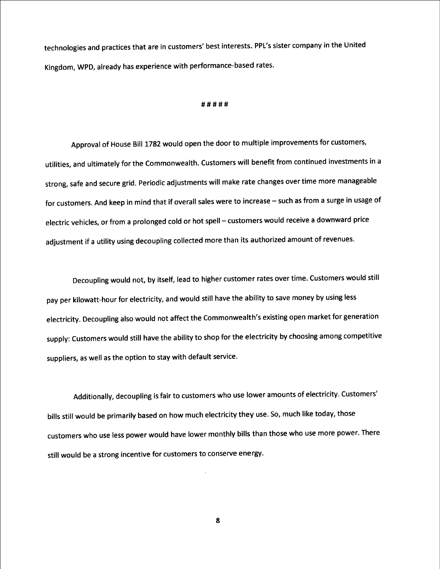technologies and practices that are in customers' best interests. PPL's sister company in the United Kingdom, WPD, already has experience with performance-based rates.

### #####

Approval of House Bill 1782 would open the door to multiple improvements for customers, utilities, and ultimately for the Commonwealth. Customers will benefit from continued investments in a strong, safe and secure grid. Periodic adjustments will make rate changes over time more manageable for customers. And keep in mind that if overall sales were to increase -- such as from a surge in usage of electric vehicles, or from a prolonged cold or hot spell - customers would receive a downward price adjustment if a utility using decoupling collected more than its authorized amount of revenues.

Decoupling would not, by itself, lead to higher customer rates over time. Customers would still pay per kilowatt-hour for electricity, and would still have the ability to save money by using less electricity. Decoupling also would not affect the Commonwealth's existing open market for generation supply: Customers would still have the ability to shop for the electricity by choosing among competitive suppliers, as well as the option to stay with default service.

Additionally, decoupling is fair to customers who use lower amounts of electricity. Customers' bills still would be primarily based on how much electricity they use. So, much like today, those customers who use less power would have lower monthly bills than those who use more power. There still would be a strong incentive for customers to conserve energy.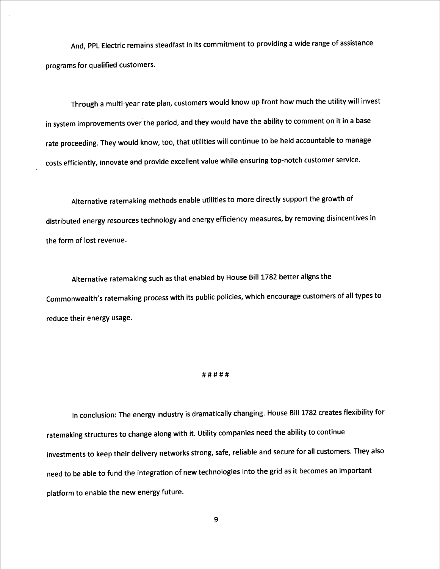And, PPL Electric remains steadfast in its commitment to providing a wide range of assistance programs for qualified customers.

Through a multi-year rate plan, customers would know up front how much the utility will invest in system improvements over the period, and they would have the ability to comment on it in a base rate proceeding. They would know, too, that utilities will continue to be held accountable to manage costs efficiently, innovate and provide excellent value while ensuring top-notch customer service.

Alternative ratemaking methods enable utilities to more directly support the growth of distributed energy resources technology and energy efficiency measures, by removing disincentives in the form of lost revenue

Alternative ratemaking such as that enabled by House Bill 1782 better aligns the Commonwealth's ratemaking process with its public policies, which encourage customers of all types to reduce their energy usage

### #####

In conclusion: The energy industry is dramatically changing. House Bill 1782 creates flexibility for ratemaking structures to change along with it. Utility companies need the ability to continue investments to keep their delivery networks strong, safe, reliable and secure for all customers. They also need to be able to fund the integration of new technologies into the grid as it becomes an important platform to enable the new energy future.